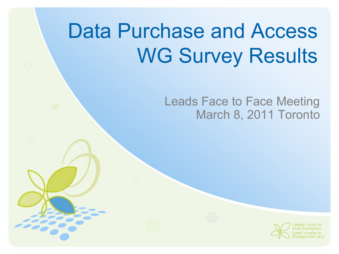# Data Purchase and Access WG Survey Results

#### Leads Face to Face Meeting March 8, 2011 Toronto

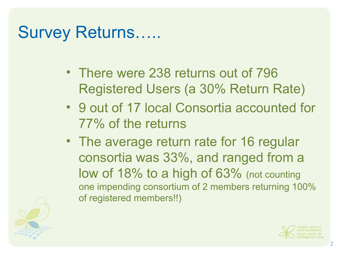# Survey Returns…..

- There were 238 returns out of 796 Registered Users (a 30% Return Rate)
- 9 out of 17 local Consortia accounted for 77% of the returns
- The average return rate for 16 regular consortia was 33%, and ranged from a low of 18% to a high of 63% (not counting one impending consortium of 2 members returning 100% of registered members!!)



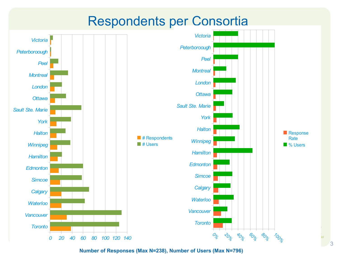#### Respondents per Consortia



**Number of Responses (Max N=238), Number of Users (Max N=796)**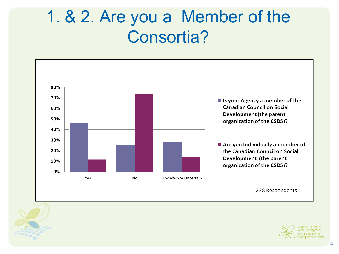# 1. & 2. Are you a Member of the Consortia?



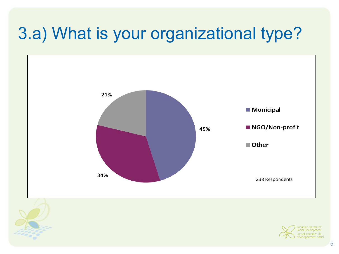# 3.a) What is your organizational type?



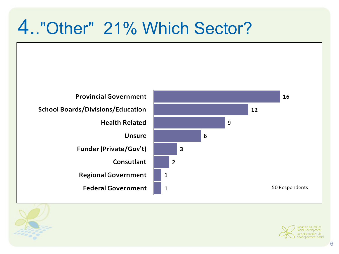# 4.."Other" 21% Which Sector?





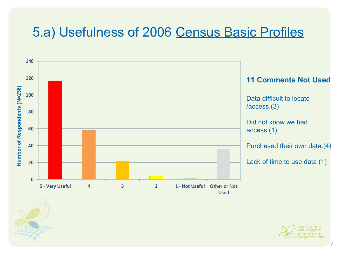#### 5.a) Usefulness of 2006 Census Basic Profiles



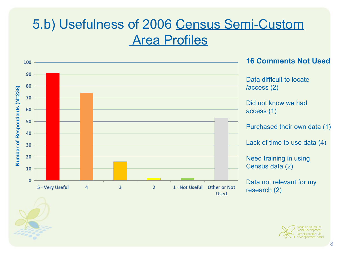#### 5.b) Usefulness of 2006 Census Semi-Custom Area Profiles



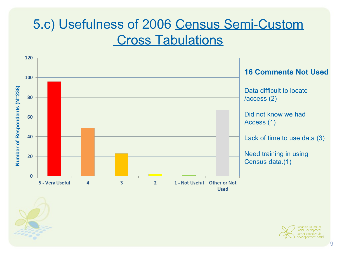#### 5.c) Usefulness of 2006 Census Semi-Custom Cross Tabulations



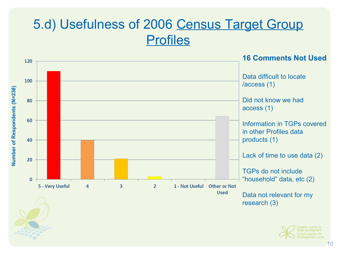#### 5.d) Usefulness of 2006 Census Target Group Profiles



éveloppement socia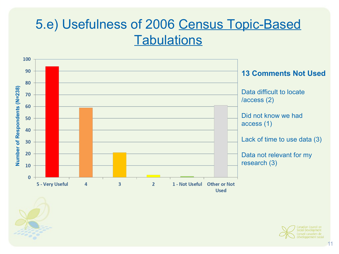#### 5.e) Usefulness of 2006 Census Topic-Based **Tabulations**



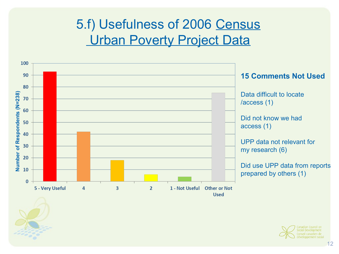### 5.f) Usefulness of 2006 Census **Urban Poverty Project Data**



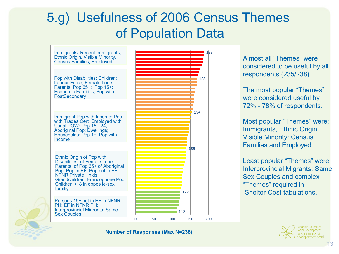#### 5.g) Usefulness of 2006 Census Themes of Population Data



**Number of Responses (Max N=238)**

considered to be useful by all respondents (235/238)

The most popular "Themes" were considered useful by 72% - 78% of respondents.

Most popular "Themes" were: Immigrants, Ethnic Origin; Visible Minority: Census Families and Employed.

Least popular "Themes" were: Interprovincial Migrants; Same Sex Couples and complex "Themes" required in Shelter-Cost tabulations.

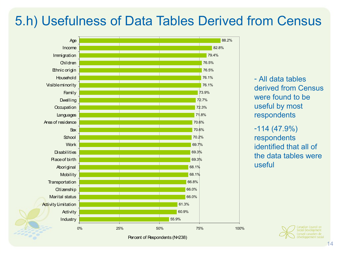#### 5.h) Usefulness of Data Tables Derived from Census



Percent of Respondents (N=238)

- All data tables derived from Census were found to be useful by most respondents

#### -114 (47.9%) respondents identified that all of the data tables were useful

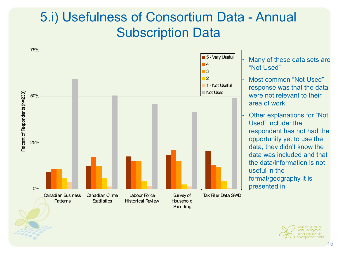#### 5.i) Usefulness of Consortium Data - Annual Subscription Data



- Many of these data sets are "Not Used"
- Most common "Not Used" response was that the data were not relevant to their area of work
- Other explanations for "Not Used" include: the respondent has not had the opportunity yet to use the data, they didn't know the data was included and that the data/information is not useful in the format/geography it is presented in

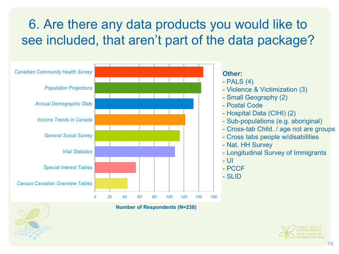## 6. Are there any data products you would like to see included, that aren't part of the data package?



**Number of Respondents (N=238)**

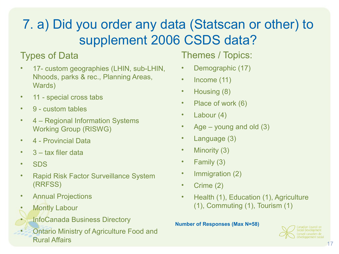# 7. a) Did you order any data (Statscan or other) to supplement 2006 CSDS data?

#### Types of Data

- 17- custom geographies (LHIN, sub-LHIN, Nhoods, parks & rec., Planning Areas, Wards)
- 11 special cross tabs
- 9 custom tables
- 4 Regional Information Systems Working Group (RISWG)
- 4 Provincial Data
- 3 tax filer data
- SDS
- Rapid Risk Factor Surveillance System (RRFSS)
- Annual Projections
- **Montly Labour**
- InfoCanada Business Directory
- Ontario Ministry of Agriculture Food and Rural Affairs

#### Themes / Topics:

- Demographic (17)
- Income (11)
- Housing (8)
- Place of work (6)
- Labour (4)
- Age  $-$  young and old  $(3)$
- Language (3)
- Minority (3)
- Family (3)
- Immigration (2)
- Crime (2)
- Health (1), Education (1), Agriculture (1), Commuting (1), Tourism (1)

#### **Number of Responses (Max N=58)**

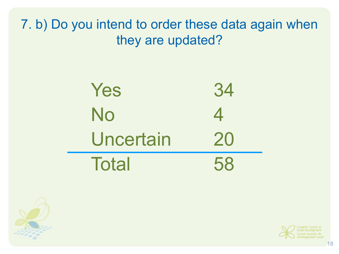7. b) Do you intend to order these data again when they are updated?





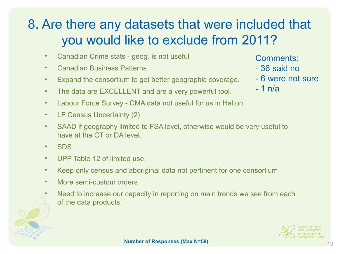#### 8. Are there any datasets that were included that you would like to exclude from 2011?

- Canadian Crime stats geog. is not useful
- Canadian Business Patterns
- Expand the consortium to get better geographic coverage.
- The data are EXCELLENT and are a very powerful tool.
- Labour Force Survey CMA data not useful for us in Halton
- LF Census Uncertainty (2)
- SAAD if geography limited to FSA level, otherwise would be very useful to have at the CT or DA level
- SDS
- UPP Table 12 of limited use
- Keep only census and aboriginal data not pertinent for one consortium
- More semi-custom orders
- Need to increase our capacity in reporting on main trends we see from each of the data products.
	-
- Comments:
- 36 said no
- 6 were not sure
- 1 n/a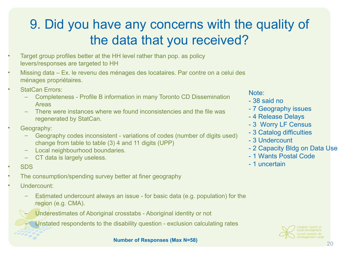#### 9. Did you have any concerns with the quality of the data that you received?

- Target group profiles better at the HH level rather than pop. as policy levers/responses are targeted to HH
- Missing data Ex. le revenu des ménages des locataires. Par contre on a celui des ménages propriétaires.
- **StatCan Errors:** 
	- Completeness Profile B information in many Toronto CD Dissemination Areas
	- There were instances where we found inconsistencies and the file was regenerated by StatCan.
- Geography:
	- Geography codes inconsistent variations of codes (number of digits used) change from table to table (3) 4 and 11 digits (UPP)
	- Local neighbourhood boundaries.
	- CT data is largely useless.
- SDS
- The consumption/spending survey better at finer geography
- Undercount:
	- Estimated undercount always an issue for basic data (e.g. population) for the region (e.g. CMA).
		- Underestimates of Aboriginal crosstabs Aboriginal identity or not
			- Unstated respondents to the disability question exclusion calculating rates

#### Note:

- 38 said no
- 7 Geography issues
- 4 Release Delays
- 3 Worry LF Census
- 3 Catalog difficulties
- 3 Undercount
- 2 Capacity Bldg on Data Use
- 1 Wants Postal Code
- 1 uncertain

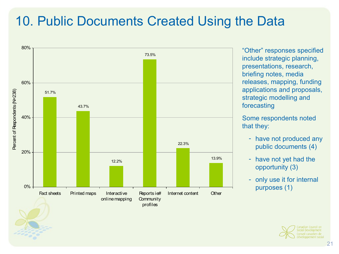#### 10. Public Documents Created Using the Data



"Other" responses specified include strategic planning, presentations, research, briefing notes, media releases, mapping, funding applications and proposals, strategic modelling and forecasting

Some respondents noted that they:

- have not produced any public documents (4)
- have not yet had the opportunity (3)
- only use it for internal purposes (1)

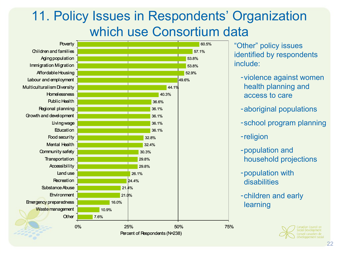#### 11. Policy Issues in Respondents' Organization which use Consortium data



reloppement socia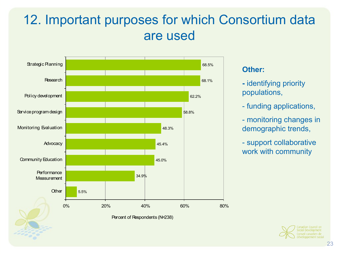#### 12. Important purposes for which Consortium data are used



#### **Other:**

- identifying priority populations,
- funding applications,
- monitoring changes in demographic trends,
- support collaborative work with community

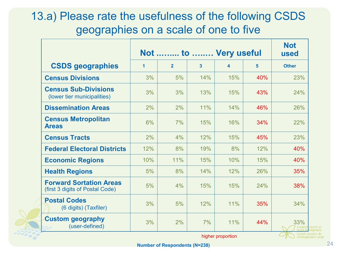#### 13.a) Please rate the usefulness of the following CSDS geographies on a scale of one to five

|                                                                   | Not  to  Very useful |                |                |                   | <b>Not</b><br>used |                                            |
|-------------------------------------------------------------------|----------------------|----------------|----------------|-------------------|--------------------|--------------------------------------------|
| <b>CSDS</b> geographies                                           | $\mathbf{1}$         | $\overline{2}$ | $\overline{3}$ | $\blacktriangle$  | $5\phantom{1}$     | <b>Other</b>                               |
| <b>Census Divisions</b>                                           | 3%                   | 5%             | 14%            | 15%               | 40%                | 23%                                        |
| <b>Census Sub-Divisions</b><br>(lower tier municipalities)        | 3%                   | 3%             | 13%            | 15%               | 43%                | 24%                                        |
| <b>Dissemination Areas</b>                                        | 2%                   | 2%             | 11%            | 14%               | 46%                | 26%                                        |
| <b>Census Metropolitan</b><br><b>Areas</b>                        | 6%                   | 7%             | 15%            | 16%               | 34%                | 22%                                        |
| <b>Census Tracts</b>                                              | 2%                   | 4%             | 12%            | 15%               | 45%                | 23%                                        |
| <b>Federal Electoral Districts</b>                                | 12%                  | 8%             | 19%            | 8%                | 12%                | 40%                                        |
| <b>Economic Regions</b>                                           | 10%                  | 11%            | 15%            | 10%               | 15%                | 40%                                        |
| <b>Health Regions</b>                                             | 5%                   | 8%             | 14%            | 12%               | 26%                | 35%                                        |
| <b>Forward Sortation Areas</b><br>(first 3 digits of Postal Code) | 5%                   | 4%             | 15%            | 15%               | 24%                | 38%                                        |
| <b>Postal Codes</b><br>(6 digits) (Taxfiler)                      | 3%                   | 5%             | 12%            | 11%               | 35%                | 34%                                        |
| <b>Custom geography</b><br>(user-defined)                         | 3%                   | 2%             | 7%             | 11%               | 44%                | 33%<br>Canadiaı                            |
|                                                                   |                      |                |                | higher proportion |                    | Conseil canadien de<br>développement socia |

higher proportion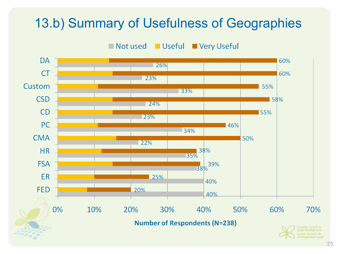#### 13.b) Summary of Usefulness of Geographies

#### **Useful** Not used ■ Very Useful

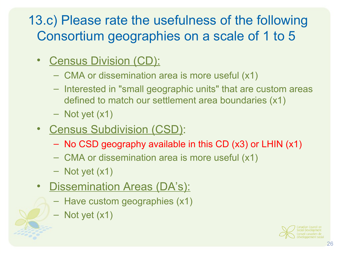### 13.c) Please rate the usefulness of the following Consortium geographies on a scale of 1 to 5

- Census Division (CD):
	- CMA or dissemination area is more useful (x1)
	- Interested in "small geographic units" that are custom areas defined to match our settlement area boundaries (x1)
	- Not yet (x1)
- Census Subdivision (CSD):
	- No CSD geography available in this CD (x3) or LHIN (x1)
	- CMA or dissemination area is more useful (x1)
	- Not yet (x1)
- **Dissemination Areas (DA's):** 
	- Have custom geographies (x1)
	- Not yet (x1)

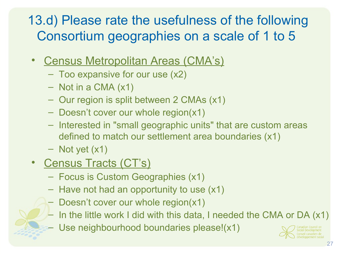### 13.d) Please rate the usefulness of the following Consortium geographies on a scale of 1 to 5

- Census Metropolitan Areas (CMA's)
	- Too expansive for our use (x2)
	- Not in a CMA (x1)
	- Our region is split between 2 CMAs (x1)
	- Doesn't cover our whole region(x1)
	- Interested in "small geographic units" that are custom areas defined to match our settlement area boundaries (x1)
	- Not yet (x1)
- Census Tracts (CT's)
	- Focus is Custom Geographies (x1)
	- Have not had an opportunity to use (x1)
	- Doesn't cover our whole region(x1)
	- In the little work I did with this data, I needed the CMA or DA (x1)
	- Use neighbourhood boundaries please!(x1)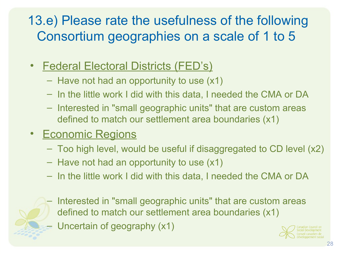### 13.e) Please rate the usefulness of the following Consortium geographies on a scale of 1 to 5

- Federal Electoral Districts (FED's)
	- Have not had an opportunity to use (x1)
	- In the little work I did with this data, I needed the CMA or DA
	- Interested in "small geographic units" that are custom areas defined to match our settlement area boundaries (x1)
- Economic Regions
	- Too high level, would be useful if disaggregated to CD level (x2)
	- Have not had an opportunity to use (x1)
	- In the little work I did with this data, I needed the CMA or DA



- Interested in "small geographic units" that are custom areas defined to match our settlement area boundaries (x1)
- Uncertain of geography (x1)

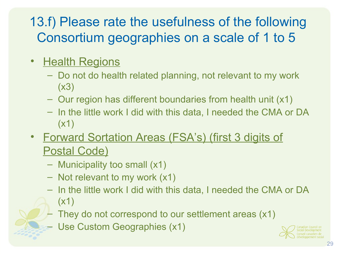## 13.f) Please rate the usefulness of the following Consortium geographies on a scale of 1 to 5

- Health Regions
	- Do not do health related planning, not relevant to my work (x3)
	- Our region has different boundaries from health unit (x1)
	- In the little work I did with this data, I needed the CMA or DA (x1)
- Forward Sortation Areas (FSA's) (first 3 digits of **Postal Code)** 
	- Municipality too small (x1)
	- Not relevant to my work (x1)
	- In the little work I did with this data, I needed the CMA or DA (x1)
	- They do not correspond to our settlement areas (x1)
	- Use Custom Geographies (x1)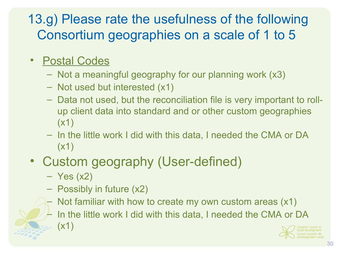### 13.g) Please rate the usefulness of the following Consortium geographies on a scale of 1 to 5

#### • Postal Codes

- Not a meaningful geography for our planning work (x3)
- Not used but interested (x1)
- Data not used, but the reconciliation file is very important to rollup client data into standard and or other custom geographies (x1)
- In the little work I did with this data, I needed the CMA or DA  $(x1)$

#### • Custom geography (User-defined)

- $-$  Yes  $(x2)$
- Possibly in future (x2)
- Not familiar with how to create my own custom areas (x1)
	- In the little work I did with this data, I needed the CMA or DA (x1)

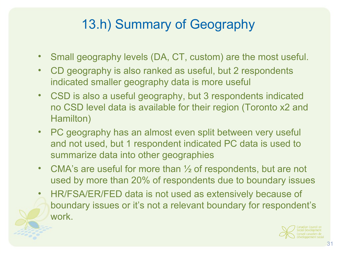# 13.h) Summary of Geography

- Small geography levels (DA, CT, custom) are the most useful.
- CD geography is also ranked as useful, but 2 respondents indicated smaller geography data is more useful
- CSD is also a useful geography, but 3 respondents indicated no CSD level data is available for their region (Toronto x2 and Hamilton)
- PC geography has an almost even split between very useful and not used, but 1 respondent indicated PC data is used to summarize data into other geographies
- CMA's are useful for more than  $\frac{1}{2}$  of respondents, but are not used by more than 20% of respondents due to boundary issues
- HR/FSA/ER/FED data is not used as extensively because of boundary issues or it's not a relevant boundary for respondent's work.

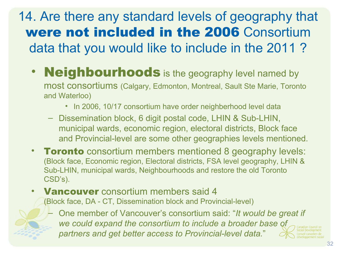14. Are there any standard levels of geography that were not included in the 2006 Consortium data that you would like to include in the 2011 ?

- **Neighbourhoods** is the geography level named by most consortiums (Calgary, Edmonton, Montreal, Sault Ste Marie, Toronto and Waterloo)
	- In 2006, 10/17 consortium have order neighberhood level data
	- Dissemination block, 6 digit postal code, LHIN & Sub-LHIN, municipal wards, economic region, electoral districts, Block face and Provincial-level are some other geographies levels mentioned.
- Toronto consortium members mentioned 8 geography levels: (Block face, Economic region, Electoral districts, FSA level geography, LHIN & Sub-LHIN, municipal wards, Neighbourhoods and restore the old Toronto CSD's).
- **Vancouver** consortium members said 4

(Block face, DA - CT, Dissemination block and Provincial-level)

– One member of Vancouver's consortium said: "*It would be great if we could expand the consortium to include a broader base of partners and get better access to Provincial-level data.*"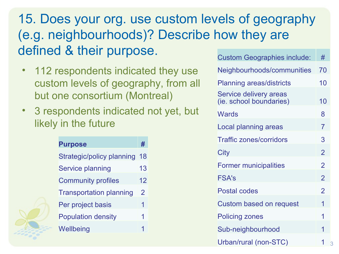#### 15. Does your org. use custom levels of geography (e.g. neighbourhoods)? Describe how they are defined & their purpose.

- 112 respondents indicated they use custom levels of geography, from all but one consortium (Montreal)
- 3 respondents indicated not yet, but likely in the future

| <b>Purpose</b>                 | #  |
|--------------------------------|----|
| Strategic/policy planning      | 18 |
| <b>Service planning</b>        | 13 |
| <b>Community profiles</b>      | 12 |
| <b>Transportation planning</b> | 2  |
| Per project basis              | 1  |
| <b>Population density</b>      | 1  |
| Wellbeing                      | 1  |

| <b>Custom Geographies include:</b>                | #              |
|---------------------------------------------------|----------------|
| Neighbourhoods/communities                        | 70             |
| <b>Planning areas/districts</b>                   | 10             |
| Service delivery areas<br>(ie. school boundaries) | 10             |
| Wards                                             | 8              |
| Local planning areas                              | $\overline{7}$ |
| <b>Traffic zones/corridors</b>                    | 3              |
| City                                              | $\overline{2}$ |
| <b>Former municipalities</b>                      | $\overline{2}$ |
| <b>FSA's</b>                                      | $\overline{2}$ |
| <b>Postal codes</b>                               | $\overline{2}$ |
| Custom based on request                           | 1              |
| <b>Policing zones</b>                             | 1              |
| Sub-neighbourhood                                 | 1              |
| Urban/rural (non-STC)                             | 1<br>3         |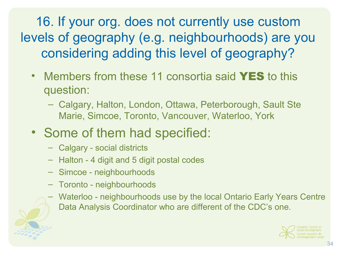16. If your org. does not currently use custom levels of geography (e.g. neighbourhoods) are you considering adding this level of geography?

- Members from these 11 consortia said **YES** to this question:
	- Calgary, Halton, London, Ottawa, Peterborough, Sault Ste Marie, Simcoe, Toronto, Vancouver, Waterloo, York
- Some of them had specified:
	- Calgary social districts
	- Halton 4 digit and 5 digit postal codes
	- Simcoe neighbourhoods
	- Toronto neighbourhoods
	- Waterloo neighbourhoods use by the local Ontario Early Years Centre Data Analysis Coordinator who are different of the CDC's one.

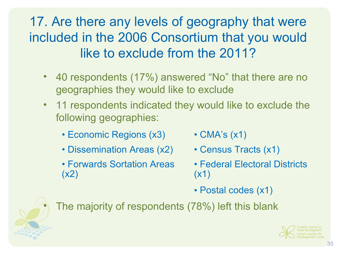## 17. Are there any levels of geography that were included in the 2006 Consortium that you would like to exclude from the 2011?

- 40 respondents (17%) answered "No" that there are no geographies they would like to exclude
- 11 respondents indicated they would like to exclude the following geographies:
	- Economic Regions (x3) CMA's (x1)
	- Dissemination Areas (x2) Census Tracts (x1)
	- Forwards Sortation Areas (x2)
- 
- 
- Federal Electoral Districts (x1)
- Postal codes (x1)

The majority of respondents (78%) left this blank

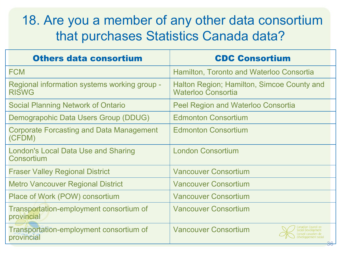#### 18. Are you a member of any other data consortium that purchases Statistics Canada data?

| <b>Others data consortium</b>                                | <b>CDC Consortium</b>                                                   |
|--------------------------------------------------------------|-------------------------------------------------------------------------|
| <b>FCM</b>                                                   | Hamilton, Toronto and Waterloo Consortia                                |
| Regional information systems working group -<br><b>RISWG</b> | Halton Region; Hamilton, Simcoe County and<br><b>Waterloo Consortia</b> |
| Social Planning Network of Ontario                           | <b>Peel Region and Waterloo Consortia</b>                               |
| Demograpohic Data Users Group (DDUG)                         | <b>Edmonton Consortium</b>                                              |
| <b>Corporate Forcasting and Data Management</b><br>(CFDM)    | <b>Edmonton Consortium</b>                                              |
| London's Local Data Use and Sharing<br>Consortium            | <b>London Consortium</b>                                                |
| <b>Fraser Valley Regional District</b>                       | <b>Vancouver Consortium</b>                                             |
| <b>Metro Vancouver Regional District</b>                     | <b>Vancouver Consortium</b>                                             |
| Place of Work (POW) consortium                               | <b>Vancouver Consortium</b>                                             |
| Transportation-employment consortium of<br>provincial        | <b>Vancouver Consortium</b>                                             |
| Transportation-employment consortium of<br>provincial        | <b>Vancouver Consortium</b><br>$\Omega$                                 |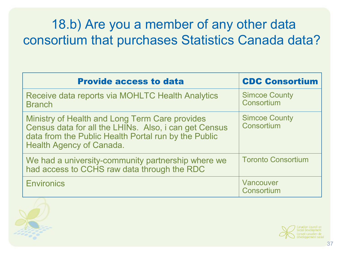### 18.b) Are you a member of any other data consortium that purchases Statistics Canada data?

| <b>Provide access to data</b>                                                                                                                                                                      | <b>CDC Consortium</b>              |
|----------------------------------------------------------------------------------------------------------------------------------------------------------------------------------------------------|------------------------------------|
| Receive data reports via MOHLTC Health Analytics<br><b>Branch</b>                                                                                                                                  | <b>Simcoe County</b><br>Consortium |
| Ministry of Health and Long Term Care provides<br>Census data for all the LHINs. Also, i can get Census<br>data from the Public Health Portal run by the Public<br><b>Health Agency of Canada.</b> | <b>Simcoe County</b><br>Consortium |
| We had a university-community partnership where we<br>had access to CCHS raw data through the RDC                                                                                                  | <b>Toronto Consortium</b>          |
| <b>Environics</b>                                                                                                                                                                                  | Vancouver<br>Consortium            |



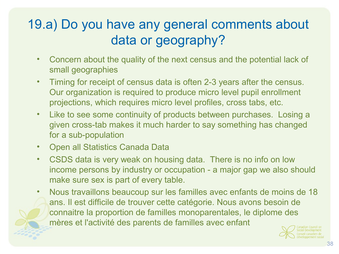## 19.a) Do you have any general comments about data or geography?

- Concern about the quality of the next census and the potential lack of small geographies
- Timing for receipt of census data is often 2-3 years after the census. Our organization is required to produce micro level pupil enrollment projections, which requires micro level profiles, cross tabs, etc.
- Like to see some continuity of products between purchases. Losing a given cross-tab makes it much harder to say something has changed for a sub-population
- Open all Statistics Canada Data
- CSDS data is very weak on housing data. There is no info on low income persons by industry or occupation - a major gap we also should make sure sex is part of every table.
- Nous travaillons beaucoup sur les familles avec enfants de moins de 18 ans. Il est difficile de trouver cette catégorie. Nous avons besoin de connaitre la proportion de familles monoparentales, le diplome des mères et l'activité des parents de familles avec enfant

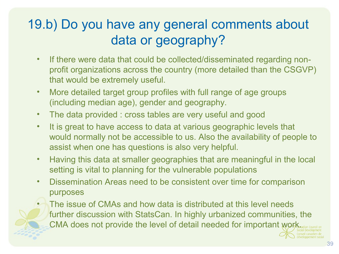## 19.b) Do you have any general comments about data or geography?

- If there were data that could be collected/disseminated regarding nonprofit organizations across the country (more detailed than the CSGVP) that would be extremely useful.
- More detailed target group profiles with full range of age groups (including median age), gender and geography.
- The data provided : cross tables are very useful and good
- It is great to have access to data at various geographic levels that would normally not be accessible to us. Also the availability of people to assist when one has questions is also very helpful.
- Having this data at smaller geographies that are meaningful in the local setting is vital to planning for the vulnerable populations
- Dissemination Areas need to be consistent over time for comparison purposes
- The issue of CMAs and how data is distributed at this level needs further discussion with StatsCan. In highly urbanized communities, the CMA does not provide the level of detail needed for important work.

39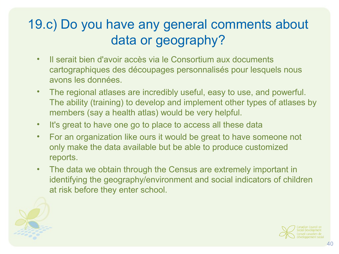## 19.c) Do you have any general comments about data or geography?

- Il serait bien d'avoir accès via le Consortium aux documents cartographiques des découpages personnalisés pour lesquels nous avons les données.
- The regional atlases are incredibly useful, easy to use, and powerful. The ability (training) to develop and implement other types of atlases by members (say a health atlas) would be very helpful.
- It's great to have one go to place to access all these data
- For an organization like ours it would be great to have someone not only make the data available but be able to produce customized reports.
- The data we obtain through the Census are extremely important in identifying the geography/environment and social indicators of children at risk before they enter school.

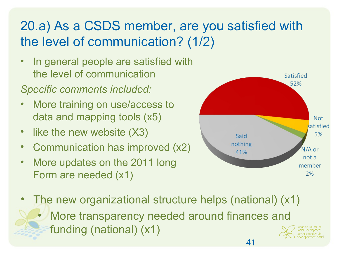# 20.a) As a CSDS member, are you satisfied with the level of communication? (1/2)

- In general people are satisfied with the level of communication
- *Specific comments included:*
- More training on use/access to data and mapping tools (x5)
- like the new website (X3)
- Communication has improved (x2)
- More updates on the 2011 long Form are needed (x1)



- The new organizational structure helps (national) (x1)
	- More transparency needed around finances and funding (national) (x1)